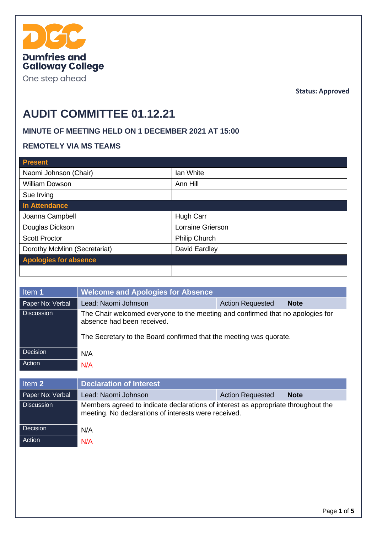

One step ahead

**Status: Approved**

# **AUDIT COMMITTEE 01.12.21**

#### **MINUTE OF MEETING HELD ON 1 DECEMBER 2021 AT 15:00**

#### **REMOTELY VIA MS TEAMS**

| <b>Present</b>               |                      |
|------------------------------|----------------------|
| Naomi Johnson (Chair)        | Ian White            |
| <b>William Dowson</b>        | Ann Hill             |
| Sue Irving                   |                      |
| In Attendance                |                      |
| Joanna Campbell              | Hugh Carr            |
| Douglas Dickson              | Lorraine Grierson    |
| <b>Scott Proctor</b>         | <b>Philip Church</b> |
| Dorothy McMinn (Secretariat) | David Eardley        |
| <b>Apologies for absence</b> |                      |
|                              |                      |

| Item 1            | <b>Welcome and Apologies for Absence</b>                                                                                                                                           |                         |             |
|-------------------|------------------------------------------------------------------------------------------------------------------------------------------------------------------------------------|-------------------------|-------------|
| Paper No: Verbal  | Lead: Naomi Johnson                                                                                                                                                                | <b>Action Requested</b> | <b>Note</b> |
| <b>Discussion</b> | The Chair welcomed everyone to the meeting and confirmed that no apologies for<br>absence had been received.<br>The Secretary to the Board confirmed that the meeting was quorate. |                         |             |
| Decision          | N/A                                                                                                                                                                                |                         |             |
| Action            | N/A                                                                                                                                                                                |                         |             |
|                   |                                                                                                                                                                                    |                         |             |

| Item 2            | <b>Declaration of Interest</b>                                                                                                            |                         |             |
|-------------------|-------------------------------------------------------------------------------------------------------------------------------------------|-------------------------|-------------|
| Paper No: Verbal  | Lead: Naomi Johnson                                                                                                                       | <b>Action Requested</b> | <b>Note</b> |
| <b>Discussion</b> | Members agreed to indicate declarations of interest as appropriate throughout the<br>meeting. No declarations of interests were received. |                         |             |
| Decision          | N/A                                                                                                                                       |                         |             |
| Action            | N/A                                                                                                                                       |                         |             |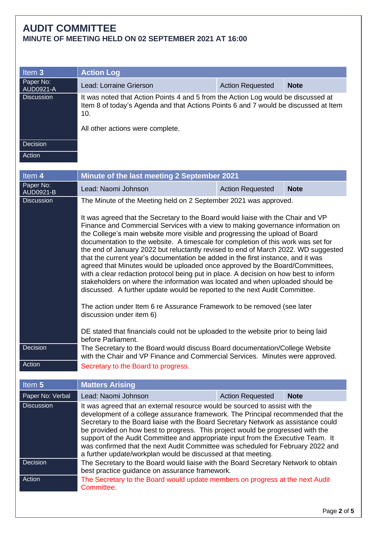| Item 3                 | <b>Action Log</b>                                                                                                                                                                                                   |                         |             |
|------------------------|---------------------------------------------------------------------------------------------------------------------------------------------------------------------------------------------------------------------|-------------------------|-------------|
| Paper No:<br>AUD0921-A | Lead: Lorraine Grierson                                                                                                                                                                                             | <b>Action Requested</b> | <b>Note</b> |
| <b>Discussion</b>      | It was noted that Action Points 4 and 5 from the Action Log would be discussed at<br>Item 8 of today's Agenda and that Actions Points 6 and 7 would be discussed at Item<br>10.<br>All other actions were complete. |                         |             |
| Decision               |                                                                                                                                                                                                                     |                         |             |
| Action                 |                                                                                                                                                                                                                     |                         |             |
| Hom A                  | Minute of the last meeting 2 Centember 2021                                                                                                                                                                         |                         |             |

| Item 4                        | Minute of the last meeting 2 September 2021                                                                                                                                                                                                                                                                                                                                                                                                                                                                                                                                                                                                                                                                                                                                                                                                                                                                                                                                                                                                           |                         |             |
|-------------------------------|-------------------------------------------------------------------------------------------------------------------------------------------------------------------------------------------------------------------------------------------------------------------------------------------------------------------------------------------------------------------------------------------------------------------------------------------------------------------------------------------------------------------------------------------------------------------------------------------------------------------------------------------------------------------------------------------------------------------------------------------------------------------------------------------------------------------------------------------------------------------------------------------------------------------------------------------------------------------------------------------------------------------------------------------------------|-------------------------|-------------|
| Paper No:<br><b>AUD0921-B</b> | Lead: Naomi Johnson                                                                                                                                                                                                                                                                                                                                                                                                                                                                                                                                                                                                                                                                                                                                                                                                                                                                                                                                                                                                                                   | <b>Action Requested</b> | <b>Note</b> |
| <b>Discussion</b>             | The Minute of the Meeting held on 2 September 2021 was approved.                                                                                                                                                                                                                                                                                                                                                                                                                                                                                                                                                                                                                                                                                                                                                                                                                                                                                                                                                                                      |                         |             |
|                               | It was agreed that the Secretary to the Board would liaise with the Chair and VP<br>Finance and Commercial Services with a view to making governance information on<br>the College's main website more visible and progressing the upload of Board<br>documentation to the website. A timescale for completion of this work was set for<br>the end of January 2022 but reluctantly revised to end of March 2022. WD suggested<br>that the current year's documentation be added in the first instance, and it was<br>agreed that Minutes would be uploaded once approved by the Board/Committees,<br>with a clear redaction protocol being put in place. A decision on how best to inform<br>stakeholders on where the information was located and when uploaded should be<br>discussed. A further update would be reported to the next Audit Committee.<br>The action under Item 6 re Assurance Framework to be removed (see later<br>discussion under item 6)<br>DE stated that financials could not be uploaded to the website prior to being laid |                         |             |
| Decision                      | The Secretary to the Board would discuss Board documentation/College Website<br>with the Chair and VP Finance and Commercial Services. Minutes were approved.                                                                                                                                                                                                                                                                                                                                                                                                                                                                                                                                                                                                                                                                                                                                                                                                                                                                                         |                         |             |
| Action                        | Secretary to the Board to progress.                                                                                                                                                                                                                                                                                                                                                                                                                                                                                                                                                                                                                                                                                                                                                                                                                                                                                                                                                                                                                   |                         |             |
|                               |                                                                                                                                                                                                                                                                                                                                                                                                                                                                                                                                                                                                                                                                                                                                                                                                                                                                                                                                                                                                                                                       |                         |             |
| Item 5                        | <b>Matters Arising</b>                                                                                                                                                                                                                                                                                                                                                                                                                                                                                                                                                                                                                                                                                                                                                                                                                                                                                                                                                                                                                                |                         |             |
| Paper No: Verbal              | Lead: Naomi Johnson                                                                                                                                                                                                                                                                                                                                                                                                                                                                                                                                                                                                                                                                                                                                                                                                                                                                                                                                                                                                                                   | <b>Action Requested</b> | <b>Note</b> |
| <b>Discussion</b>             | It was agreed that an external resource would be sourced to assist with the                                                                                                                                                                                                                                                                                                                                                                                                                                                                                                                                                                                                                                                                                                                                                                                                                                                                                                                                                                           |                         |             |

| development of a college assurance framework. The Principal recommended that the               |  |
|------------------------------------------------------------------------------------------------|--|
| Secretary to the Board liaise with the Board Secretary Network as assistance could             |  |
| be provided on how best to progress. This project would be progressed with the                 |  |
| support of the Audit Committee and appropriate input from the Executive Team. It               |  |
| was confirmed that the next Audit Committee was scheduled for February 2022 and                |  |
| a further update/workplan would be discussed at that meeting.                                  |  |
| Decision<br>The Secretary to the Board would liaise with the Board Secretary Network to obtain |  |
| best practice quidance on assurance framework.                                                 |  |
| Action<br>The Secretary to the Board would update members on progress at the next Audit        |  |
| Committee.                                                                                     |  |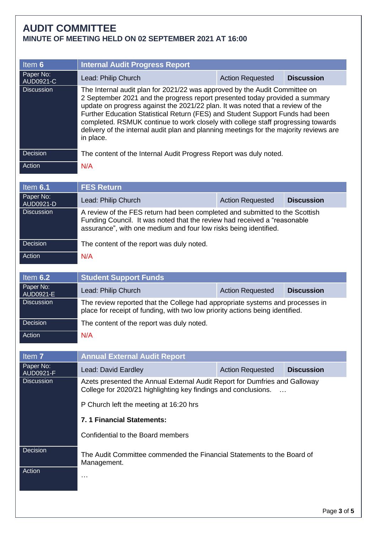| Item 6                         | <b>Internal Audit Progress Report</b>                                                                                                                                                                                                                                                                                                                                                                                                                                                                                   |                         |                   |
|--------------------------------|-------------------------------------------------------------------------------------------------------------------------------------------------------------------------------------------------------------------------------------------------------------------------------------------------------------------------------------------------------------------------------------------------------------------------------------------------------------------------------------------------------------------------|-------------------------|-------------------|
| Paper No:<br><b>AUD0921-C</b>  | Lead: Philip Church                                                                                                                                                                                                                                                                                                                                                                                                                                                                                                     | <b>Action Requested</b> | <b>Discussion</b> |
| <b>Discussion</b>              | The Internal audit plan for 2021/22 was approved by the Audit Committee on<br>2 September 2021 and the progress report presented today provided a summary<br>update on progress against the 2021/22 plan. It was noted that a review of the<br>Further Education Statistical Return (FES) and Student Support Funds had been<br>completed. RSMUK continue to work closely with college staff progressing towards<br>delivery of the internal audit plan and planning meetings for the majority reviews are<br>in place. |                         |                   |
| Decision                       | The content of the Internal Audit Progress Report was duly noted.                                                                                                                                                                                                                                                                                                                                                                                                                                                       |                         |                   |
| Action                         | N/A                                                                                                                                                                                                                                                                                                                                                                                                                                                                                                                     |                         |                   |
| Item 6.1                       | <b>FES Return</b>                                                                                                                                                                                                                                                                                                                                                                                                                                                                                                       |                         |                   |
| Paper No:                      | Lead: Philip Church                                                                                                                                                                                                                                                                                                                                                                                                                                                                                                     | <b>Action Requested</b> | <b>Discussion</b> |
| AUD0921-D<br><b>Discussion</b> | A review of the FES return had been completed and submitted to the Scottish<br>Funding Council. It was noted that the review had received a "reasonable"<br>assurance", with one medium and four low risks being identified.                                                                                                                                                                                                                                                                                            |                         |                   |
| Decision                       | The content of the report was duly noted.                                                                                                                                                                                                                                                                                                                                                                                                                                                                               |                         |                   |
| Action                         | N/A                                                                                                                                                                                                                                                                                                                                                                                                                                                                                                                     |                         |                   |
| Item 6.2                       | <b>Student Support Funds</b>                                                                                                                                                                                                                                                                                                                                                                                                                                                                                            |                         |                   |
| Paper No:<br>AUD0921-E         | Lead: Philip Church                                                                                                                                                                                                                                                                                                                                                                                                                                                                                                     | <b>Action Requested</b> | <b>Discussion</b> |
| <b>Discussion</b>              | The review reported that the College had appropriate systems and processes in<br>place for receipt of funding, with two low priority actions being identified.                                                                                                                                                                                                                                                                                                                                                          |                         |                   |
| Decision                       | The content of the report was duly noted.                                                                                                                                                                                                                                                                                                                                                                                                                                                                               |                         |                   |
| Action                         | N/A                                                                                                                                                                                                                                                                                                                                                                                                                                                                                                                     |                         |                   |
| Item 7                         | <b>Annual External Audit Report</b>                                                                                                                                                                                                                                                                                                                                                                                                                                                                                     |                         |                   |
| Paper No:<br><b>AUD0921-F</b>  | Lead: David Eardley                                                                                                                                                                                                                                                                                                                                                                                                                                                                                                     | <b>Action Requested</b> | <b>Discussion</b> |
| <b>Discussion</b>              | Azets presented the Annual External Audit Report for Dumfries and Galloway<br>College for 2020/21 highlighting key findings and conclusions.                                                                                                                                                                                                                                                                                                                                                                            |                         |                   |
|                                | P Church left the meeting at 16:20 hrs                                                                                                                                                                                                                                                                                                                                                                                                                                                                                  |                         |                   |
|                                | 7. 1 Financial Statements:                                                                                                                                                                                                                                                                                                                                                                                                                                                                                              |                         |                   |
|                                | Confidential to the Board members                                                                                                                                                                                                                                                                                                                                                                                                                                                                                       |                         |                   |
| Decision                       | The Audit Committee commended the Financial Statements to the Board of<br>Management.                                                                                                                                                                                                                                                                                                                                                                                                                                   |                         |                   |
| Action                         | .                                                                                                                                                                                                                                                                                                                                                                                                                                                                                                                       |                         |                   |
|                                |                                                                                                                                                                                                                                                                                                                                                                                                                                                                                                                         |                         |                   |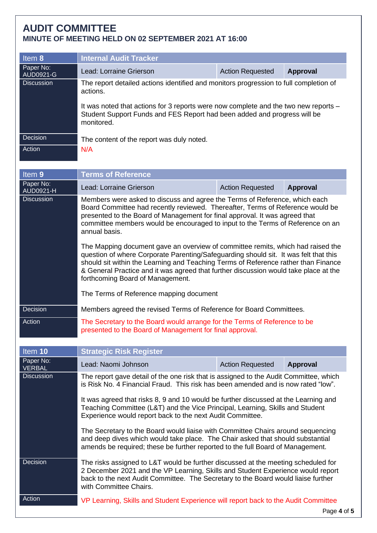| Item $8$                           | <b>Internal Audit Tracker</b>                                                                                                                                                                                                                                                                                                                                                             |                         |                 |  |  |
|------------------------------------|-------------------------------------------------------------------------------------------------------------------------------------------------------------------------------------------------------------------------------------------------------------------------------------------------------------------------------------------------------------------------------------------|-------------------------|-----------------|--|--|
| Paper No:<br>AUD0921-G             | Lead: Lorraine Grierson<br><b>Action Requested</b><br><b>Approval</b>                                                                                                                                                                                                                                                                                                                     |                         |                 |  |  |
| <b>Discussion</b>                  | The report detailed actions identified and monitors progression to full completion of<br>actions.                                                                                                                                                                                                                                                                                         |                         |                 |  |  |
|                                    | It was noted that actions for 3 reports were now complete and the two new reports -<br>Student Support Funds and FES Report had been added and progress will be<br>monitored.                                                                                                                                                                                                             |                         |                 |  |  |
| Decision                           | The content of the report was duly noted.                                                                                                                                                                                                                                                                                                                                                 |                         |                 |  |  |
| Action                             | N/A                                                                                                                                                                                                                                                                                                                                                                                       |                         |                 |  |  |
| Item 9                             | <b>Terms of Reference</b>                                                                                                                                                                                                                                                                                                                                                                 |                         |                 |  |  |
| Paper No:<br><b>AUD0921-H</b>      | Lead: Lorraine Grierson                                                                                                                                                                                                                                                                                                                                                                   | <b>Action Requested</b> | <b>Approval</b> |  |  |
| <b>Discussion</b>                  | Members were asked to discuss and agree the Terms of Reference, which each<br>Board Committee had recently reviewed. Thereafter, Terms of Reference would be<br>presented to the Board of Management for final approval. It was agreed that<br>committee members would be encouraged to input to the Terms of Reference on an<br>annual basis.                                            |                         |                 |  |  |
|                                    | The Mapping document gave an overview of committee remits, which had raised the<br>question of where Corporate Parenting/Safeguarding should sit. It was felt that this<br>should sit within the Learning and Teaching Terms of Reference rather than Finance<br>& General Practice and it was agreed that further discussion would take place at the<br>forthcoming Board of Management. |                         |                 |  |  |
|                                    | The Terms of Reference mapping document                                                                                                                                                                                                                                                                                                                                                   |                         |                 |  |  |
| Decision                           | Members agreed the revised Terms of Reference for Board Committees.                                                                                                                                                                                                                                                                                                                       |                         |                 |  |  |
| Action                             | The Secretary to the Board would arrange for the Terms of Reference to be<br>presented to the Board of Management for final approval.                                                                                                                                                                                                                                                     |                         |                 |  |  |
| Item 10                            | <b>Strategic Risk Register</b>                                                                                                                                                                                                                                                                                                                                                            |                         |                 |  |  |
| Paper No:                          | Lead: Naomi Johnson                                                                                                                                                                                                                                                                                                                                                                       | <b>Action Requested</b> | <b>Approval</b> |  |  |
| <b>VERBAL</b><br><b>Discussion</b> | The report gave detail of the one risk that is assigned to the Audit Committee, which<br>is Risk No. 4 Financial Fraud. This risk has been amended and is now rated "low".                                                                                                                                                                                                                |                         |                 |  |  |
|                                    | It was agreed that risks 8, 9 and 10 would be further discussed at the Learning and<br>Teaching Committee (L&T) and the Vice Principal, Learning, Skills and Student<br>Experience would report back to the next Audit Committee.                                                                                                                                                         |                         |                 |  |  |
|                                    | The Secretary to the Board would liaise with Committee Chairs around sequencing<br>and deep dives which would take place. The Chair asked that should substantial<br>amends be required; these be further reported to the full Board of Management.                                                                                                                                       |                         |                 |  |  |
| Decision                           | The risks assigned to L&T would be further discussed at the meeting scheduled for<br>2 December 2021 and the VP Learning, Skills and Student Experience would report<br>back to the next Audit Committee. The Secretary to the Board would liaise further<br>with Committee Chairs.                                                                                                       |                         |                 |  |  |
| Action                             | VP Learning, Skills and Student Experience will report back to the Audit Committee                                                                                                                                                                                                                                                                                                        |                         | Page 4 of       |  |  |

Page **4** of **5**